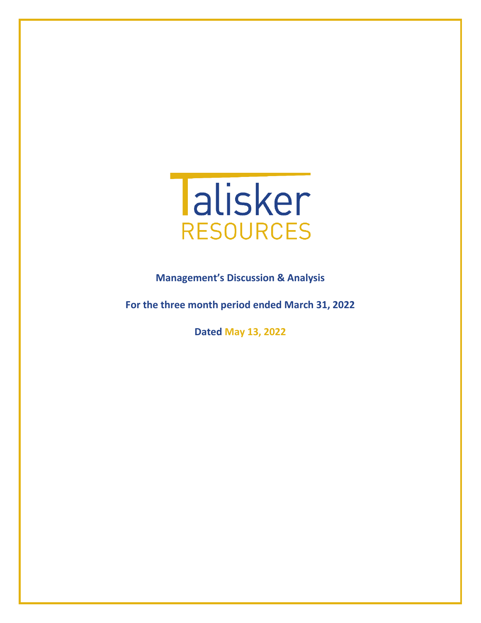

**Management's Discussion & Analysis** 

**For the three month period ended March 31, 2022**

**Dated May 13, 2022**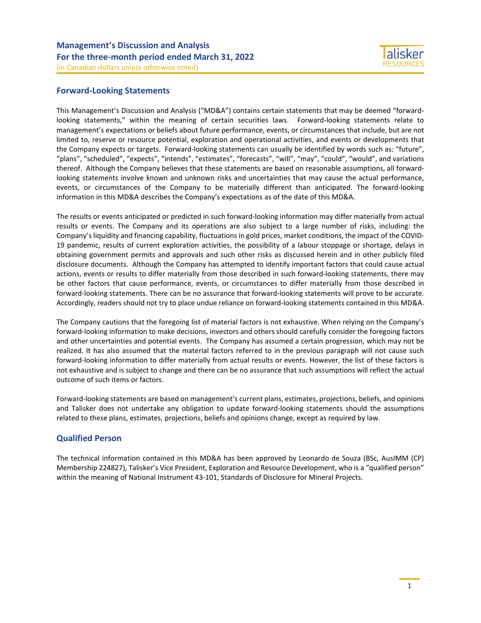

## **Forward-Looking Statements**

This Management's Discussion and Analysis ("MD&A") contains certain statements that may be deemed "forwardlooking statements," within the meaning of certain securities laws. Forward-looking statements relate to management's expectations or beliefs about future performance, events, or circumstances that include, but are not limited to, reserve or resource potential, exploration and operational activities, and events or developments that the Company expects or targets. Forward-looking statements can usually be identified by words such as: "future", "plans", "scheduled", "expects", "intends", "estimates", "forecasts", "will", "may", "could", "would", and variations thereof. Although the Company believes that these statements are based on reasonable assumptions, all forwardlooking statements involve known and unknown risks and uncertainties that may cause the actual performance, events, or circumstances of the Company to be materially different than anticipated. The forward-looking information in this MD&A describes the Company's expectations as of the date of this MD&A.

The results or events anticipated or predicted in such forward-looking information may differ materially from actual results or events. The Company and its operations are also subject to a large number of risks, including: the Company's liquidity and financing capability, fluctuations in gold prices, market conditions, the impact of the COVID-19 pandemic, results of current exploration activities, the possibility of a labour stoppage or shortage, delays in obtaining government permits and approvals and such other risks as discussed herein and in other publicly filed disclosure documents. Although the Company has attempted to identify important factors that could cause actual actions, events or results to differ materially from those described in such forward-looking statements, there may be other factors that cause performance, events, or circumstances to differ materially from those described in forward-looking statements. There can be no assurance that forward-looking statements will prove to be accurate. Accordingly, readers should not try to place undue reliance on forward-looking statements contained in this MD&A.

The Company cautions that the foregoing list of material factors is not exhaustive. When relying on the Company's forward-looking information to make decisions, investors and others should carefully consider the foregoing factors and other uncertainties and potential events. The Company has assumed a certain progression, which may not be realized. It has also assumed that the material factors referred to in the previous paragraph will not cause such forward-looking information to differ materially from actual results or events. However, the list of these factors is not exhaustive and is subject to change and there can be no assurance that such assumptions will reflect the actual outcome of such items or factors.

Forward-looking statements are based on management's current plans, estimates, projections, beliefs, and opinions and Talisker does not undertake any obligation to update forward-looking statements should the assumptions related to these plans, estimates, projections, beliefs and opinions change, except as required by law.

## **Qualified Person**

The technical information contained in this MD&A has been approved by Leonardo de Souza (BSc, AusIMM (CP) Membership 224827), Talisker's Vice President, Exploration and Resource Development, who is a "qualified person" within the meaning of National Instrument 43-101, Standards of Disclosure for Mineral Projects.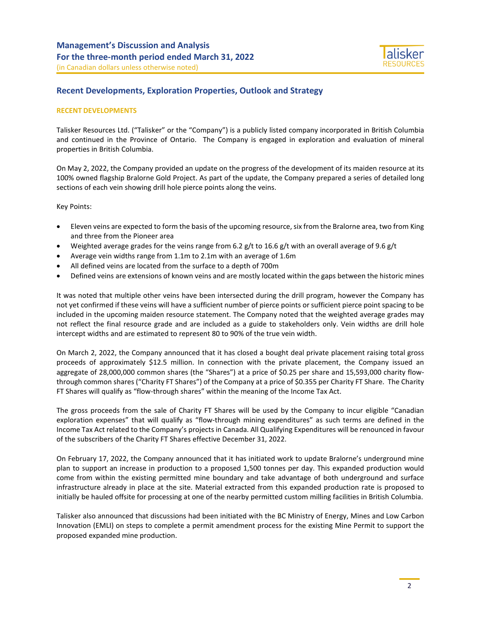

## **Recent Developments, Exploration Properties, Outlook and Strategy**

### **RECENT DEVELOPMENTS**

Talisker Resources Ltd. ("Talisker" or the "Company") is a publicly listed company incorporated in British Columbia and continued in the Province of Ontario. The Company is engaged in exploration and evaluation of mineral properties in British Columbia.

On May 2, 2022, the Company provided an update on the progress of the development of its maiden resource at its 100% owned flagship Bralorne Gold Project. As part of the update, the Company prepared a series of detailed long sections of each vein showing drill hole pierce points along the veins.

Key Points:

- Eleven veins are expected to form the basis of the upcoming resource, six from the Bralorne area, two from King and three from the Pioneer area
- Weighted average grades for the veins range from 6.2 g/t to 16.6 g/t with an overall average of 9.6 g/t
- Average vein widths range from 1.1m to 2.1m with an average of 1.6m
- All defined veins are located from the surface to a depth of 700m
- Defined veins are extensions of known veins and are mostly located within the gaps between the historic mines

It was noted that multiple other veins have been intersected during the drill program, however the Company has not yet confirmed if these veins will have a sufficient number of pierce points or sufficient pierce point spacing to be included in the upcoming maiden resource statement. The Company noted that the weighted average grades may not reflect the final resource grade and are included as a guide to stakeholders only. Vein widths are drill hole intercept widths and are estimated to represent 80 to 90% of the true vein width.

On March 2, 2022, the Company announced that it has closed a bought deal private placement raising total gross proceeds of approximately \$12.5 million. In connection with the private placement, the Company issued an aggregate of 28,000,000 common shares (the "Shares") at a price of \$0.25 per share and 15,593,000 charity flowthrough common shares ("Charity FT Shares") of the Company at a price of \$0.355 per Charity FT Share. The Charity FT Shares will qualify as "flow-through shares" within the meaning of the Income Tax Act.

The gross proceeds from the sale of Charity FT Shares will be used by the Company to incur eligible "Canadian exploration expenses" that will qualify as "flow-through mining expenditures" as such terms are defined in the Income Tax Act related to the Company's projects in Canada. All Qualifying Expenditures will be renounced in favour of the subscribers of the Charity FT Shares effective December 31, 2022.

On February 17, 2022, the Company announced that it has initiated work to update Bralorne's underground mine plan to support an increase in production to a proposed 1,500 tonnes per day. This expanded production would come from within the existing permitted mine boundary and take advantage of both underground and surface infrastructure already in place at the site. Material extracted from this expanded production rate is proposed to initially be hauled offsite for processing at one of the nearby permitted custom milling facilities in British Columbia.

Talisker also announced that discussions had been initiated with the BC Ministry of Energy, Mines and Low Carbon Innovation (EMLI) on steps to complete a permit amendment process for the existing Mine Permit to support the proposed expanded mine production.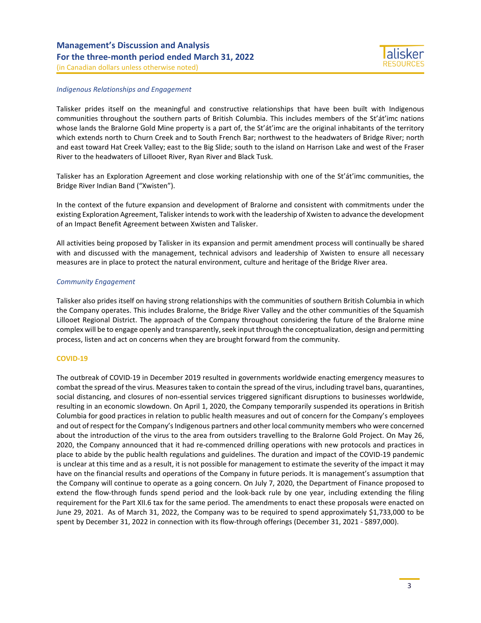

#### *Indigenous Relationships and Engagement*

Talisker prides itself on the meaningful and constructive relationships that have been built with Indigenous communities throughout the southern parts of British Columbia. This includes members of the St'át'imc nations whose lands the Bralorne Gold Mine property is a part of, the St'át'imc are the original inhabitants of the territory which extends north to Churn Creek and to South French Bar; northwest to the headwaters of Bridge River; north and east toward Hat Creek Valley; east to the Big Slide; south to the island on Harrison Lake and west of the Fraser River to the headwaters of Lillooet River, Ryan River and Black Tusk.

Talisker has an Exploration Agreement and close working relationship with one of the St'át'imc communities, the Bridge River Indian Band ("Xwisten").

In the context of the future expansion and development of Bralorne and consistent with commitments under the existing Exploration Agreement, Talisker intends to work with the leadership of Xwisten to advance the development of an Impact Benefit Agreement between Xwisten and Talisker.

All activities being proposed by Talisker in its expansion and permit amendment process will continually be shared with and discussed with the management, technical advisors and leadership of Xwisten to ensure all necessary measures are in place to protect the natural environment, culture and heritage of the Bridge River area.

### *Community Engagement*

Talisker also prides itself on having strong relationships with the communities of southern British Columbia in which the Company operates. This includes Bralorne, the Bridge River Valley and the other communities of the Squamish Lillooet Regional District. The approach of the Company throughout considering the future of the Bralorne mine complex will be to engage openly and transparently, seek input through the conceptualization, design and permitting process, listen and act on concerns when they are brought forward from the community.

### **COVID-19**

The outbreak of COVID-19 in December 2019 resulted in governments worldwide enacting emergency measures to combat the spread of the virus. Measures taken to contain the spread of the virus, including travel bans, quarantines, social distancing, and closures of non-essential services triggered significant disruptions to businesses worldwide, resulting in an economic slowdown. On April 1, 2020, the Company temporarily suspended its operations in British Columbia for good practices in relation to public health measures and out of concern for the Company's employees and out of respect for the Company's Indigenous partners and other local community members who were concerned about the introduction of the virus to the area from outsiders travelling to the Bralorne Gold Project. On May 26, 2020, the Company announced that it had re-commenced drilling operations with new protocols and practices in place to abide by the public health regulations and guidelines. The duration and impact of the COVID-19 pandemic is unclear at this time and as a result, it is not possible for management to estimate the severity of the impact it may have on the financial results and operations of the Company in future periods. It is management's assumption that the Company will continue to operate as a going concern. On July 7, 2020, the Department of Finance proposed to extend the flow-through funds spend period and the look-back rule by one year, including extending the filing requirement for the Part XII.6 tax for the same period. The amendments to enact these proposals were enacted on June 29, 2021. As of March 31, 2022, the Company was to be required to spend approximately \$1,733,000 to be spent by December 31, 2022 in connection with its flow-through offerings (December 31, 2021 - \$897,000).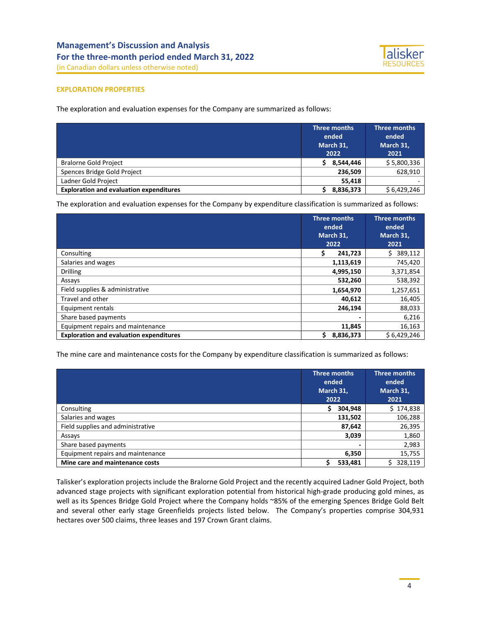

### **EXPLORATION PROPERTIES**

The exploration and evaluation expenses for the Company are summarized as follows:

|                                                | Three months<br>ended<br>March 31,<br>2022 | Three months<br>ended<br>March 31,<br>2021 |
|------------------------------------------------|--------------------------------------------|--------------------------------------------|
| <b>Bralorne Gold Project</b>                   | 8,544,446                                  | \$5,800,336                                |
| Spences Bridge Gold Project                    | 236,509                                    | 628,910                                    |
| Ladner Gold Project                            | 55,418                                     |                                            |
| <b>Exploration and evaluation expenditures</b> | 8,836,373                                  | \$6,429,246                                |

The exploration and evaluation expenses for the Company by expenditure classification is summarized as follows:

|                                                |    | Three months<br>ended<br>March 31,<br>2022 | <b>Three months</b><br>ended<br>March 31,<br>2021 |  |
|------------------------------------------------|----|--------------------------------------------|---------------------------------------------------|--|
| Consulting                                     | Ş. | 241,723                                    | 389,112<br>S.                                     |  |
| Salaries and wages                             |    | 1,113,619                                  | 745,420                                           |  |
| <b>Drilling</b>                                |    | 4,995,150                                  | 3,371,854                                         |  |
| Assays                                         |    | 532,260                                    | 538,392                                           |  |
| Field supplies & administrative                |    | 1,654,970                                  | 1,257,651                                         |  |
| Travel and other                               |    | 40,612                                     | 16,405                                            |  |
| Equipment rentals                              |    | 246,194                                    | 88,033                                            |  |
| Share based payments                           |    |                                            | 6,216                                             |  |
| Equipment repairs and maintenance              |    | 11,845                                     | 16,163                                            |  |
| <b>Exploration and evaluation expenditures</b> | Ś. | 8,836,373                                  | \$6,429,246                                       |  |

The mine care and maintenance costs for the Company by expenditure classification is summarized as follows:

|                                   | Three months<br>ended<br>March 31,<br>2022 | Three months<br>ended<br>March 31,<br>2021 |
|-----------------------------------|--------------------------------------------|--------------------------------------------|
| Consulting                        | 304,948                                    | \$174,838                                  |
| Salaries and wages                | 131,502                                    | 106,288                                    |
| Field supplies and administrative | 87,642                                     | 26,395                                     |
| Assays                            | 3,039                                      | 1,860                                      |
| Share based payments              |                                            | 2,983                                      |
| Equipment repairs and maintenance | 6,350                                      | 15,755                                     |
| Mine care and maintenance costs   | 533,481                                    | 328,119                                    |

Talisker's exploration projects include the Bralorne Gold Project and the recently acquired Ladner Gold Project, both advanced stage projects with significant exploration potential from historical high-grade producing gold mines, as well as its Spences Bridge Gold Project where the Company holds ~85% of the emerging Spences Bridge Gold Belt and several other early stage Greenfields projects listed below. The Company's properties comprise 304,931 hectares over 500 claims, three leases and 197 Crown Grant claims.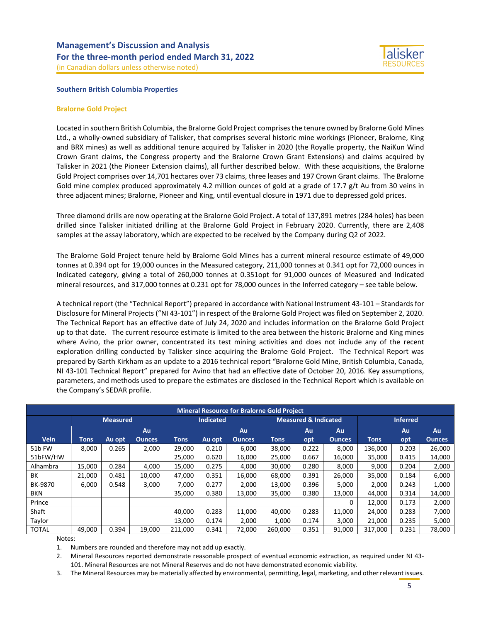



#### **Southern British Columbia Properties**

#### **Bralorne Gold Project**

Located in southern British Columbia, the Bralorne Gold Project comprises the tenure owned by Bralorne Gold Mines Ltd., a wholly-owned subsidiary of Talisker, that comprises several historic mine workings (Pioneer, Bralorne, King and BRX mines) as well as additional tenure acquired by Talisker in 2020 (the Royalle property, the NaiKun Wind Crown Grant claims, the Congress property and the Bralorne Crown Grant Extensions) and claims acquired by Talisker in 2021 (the Pioneer Extension claims), all further described below. With these acquisitions, the Bralorne Gold Project comprises over 14,701 hectares over 73 claims, three leases and 197 Crown Grant claims. The Bralorne Gold mine complex produced approximately 4.2 million ounces of gold at a grade of 17.7 g/t Au from 30 veins in three adjacent mines; Bralorne, Pioneer and King, until eventual closure in 1971 due to depressed gold prices.

Three diamond drills are now operating at the Bralorne Gold Project. A total of 137,891 metres (284 holes) has been drilled since Talisker initiated drilling at the Bralorne Gold Project in February 2020. Currently, there are 2,408 samples at the assay laboratory, which are expected to be received by the Company during Q2 of 2022.

The Bralorne Gold Project tenure held by Bralorne Gold Mines has a current mineral resource estimate of 49,000 tonnes at 0.394 opt for 19,000 ounces in the Measured category, 211,000 tonnes at 0.341 opt for 72,000 ounces in Indicated category, giving a total of 260,000 tonnes at 0.351opt for 91,000 ounces of Measured and Indicated mineral resources, and 317,000 tonnes at 0.231 opt for 78,000 ounces in the Inferred category – see table below.

A technical report (the "Technical Report") prepared in accordance with National Instrument 43-101 – Standards for Disclosure for Mineral Projects ("NI 43-101") in respect of the Bralorne Gold Project was filed on September 2, 2020. The Technical Report has an effective date of July 24, 2020 and includes information on the Bralorne Gold Project up to that date. The current resource estimate is limited to the area between the historic Bralorne and King mines where Avino, the prior owner, concentrated its test mining activities and does not include any of the recent exploration drilling conducted by Talisker since acquiring the Bralorne Gold Project. The Technical Report was prepared by Garth Kirkham as an update to a 2016 technical report "Bralorne Gold Mine, British Columbia, Canada, NI 43-101 Technical Report" prepared for Avino that had an effective date of October 20, 2016. Key assumptions, parameters, and methods used to prepare the estimates are disclosed in the Technical Report which is available on the Company's SEDAR profile.

| <b>Mineral Resource for Bralorne Gold Project</b> |             |                 |               |             |                  |               |             |                                 |               |                 |       |         |  |
|---------------------------------------------------|-------------|-----------------|---------------|-------------|------------------|---------------|-------------|---------------------------------|---------------|-----------------|-------|---------|--|
|                                                   |             | <b>Measured</b> |               |             | <b>Indicated</b> |               |             | <b>Measured &amp; Indicated</b> |               | <b>Inferred</b> |       |         |  |
|                                                   |             |                 | Au            |             |                  | Au            |             | Au                              | Au            |                 | Au    | Au      |  |
| <b>Vein</b>                                       | <b>Tons</b> | Au opt          | <b>Ounces</b> | <b>Tons</b> | Au opt           | <b>Ounces</b> | <b>Tons</b> | opt                             | <b>Ounces</b> | <b>Tons</b>     | opt   | Ounces, |  |
| 51b FW                                            | 8,000       | 0.265           | 2.000         | 29,000      | 0.210            | 6,000         | 38,000      | 0.222                           | 8,000         | 136,000         | 0.203 | 26,000  |  |
| 51bFW/HW                                          |             |                 |               | 25,000      | 0.620            | 16,000        | 25,000      | 0.667                           | 16,000        | 35,000          | 0.415 | 14,000  |  |
| Alhambra                                          | 15.000      | 0.284           | 4.000         | 15.000      | 0.275            | 4,000         | 30.000      | 0.280                           | 8,000         | 9.000           | 0.204 | 2,000   |  |
| ВK                                                | 21,000      | 0.481           | 10,000        | 47.000      | 0.351            | 16,000        | 68,000      | 0.391                           | 26,000        | 35,000          | 0.184 | 6,000   |  |
| BK-9870                                           | 6,000       | 0.548           | 3,000         | 7,000       | 0.277            | 2,000         | 13,000      | 0.396                           | 5,000         | 2,000           | 0.243 | 1,000   |  |
| <b>BKN</b>                                        |             |                 |               | 35,000      | 0.380            | 13.000        | 35,000      | 0.380                           | 13,000        | 44,000          | 0.314 | 14,000  |  |
| Prince                                            |             |                 |               |             |                  |               |             |                                 | O             | 12,000          | 0.173 | 2,000   |  |
| Shaft                                             |             |                 |               | 40.000      | 0.283            | 11.000        | 40.000      | 0.283                           | 11,000        | 24,000          | 0.283 | 7,000   |  |
| Taylor                                            |             |                 |               | 13,000      | 0.174            | 2,000         | 1,000       | 0.174                           | 3,000         | 21,000          | 0.235 | 5,000   |  |
| <b>TOTAL</b>                                      | 49,000      | 0.394           | 19,000        | 211,000     | 0.341            | 72,000        | 260.000     | 0.351                           | 91,000        | 317,000         | 0.231 | 78,000  |  |

Notes:

1. Numbers are rounded and therefore may not add up exactly.

2. Mineral Resources reported demonstrate reasonable prospect of eventual economic extraction, as required under NI 43- 101. Mineral Resources are not Mineral Reserves and do not have demonstrated economic viability.

3. The Mineral Resources may be materially affected by environmental, permitting, legal, marketing, and other relevant issues.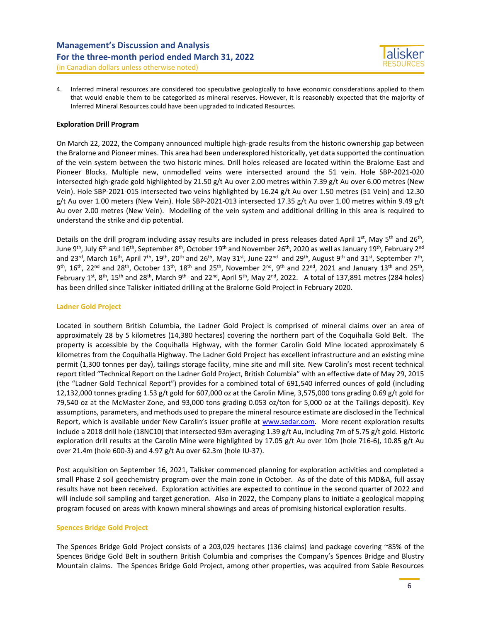

(in Canadian dollars unless otherwise noted)

4. Inferred mineral resources are considered too speculative geologically to have economic considerations applied to them that would enable them to be categorized as mineral reserves. However, it is reasonably expected that the majority of Inferred Mineral Resources could have been upgraded to Indicated Resources.

## **Exploration Drill Program**

On March 22, 2022, the Company announced multiple high-grade results from the historic ownership gap between the Bralorne and Pioneer mines. This area had been underexplored historically, yet data supported the continuation of the vein system between the two historic mines. Drill holes released are located within the Bralorne East and Pioneer Blocks. Multiple new, unmodelled veins were intersected around the 51 vein. Hole SBP-2021-020 intersected high-grade gold highlighted by 21.50 g/t Au over 2.00 metres within 7.39 g/t Au over 6.00 metres (New Vein). Hole SBP-2021-015 intersected two veins highlighted by 16.24 g/t Au over 1.50 metres (51 Vein) and 12.30 g/t Au over 1.00 meters (New Vein). Hole SBP-2021-013 intersected 17.35 g/t Au over 1.00 metres within 9.49 g/t Au over 2.00 metres (New Vein). Modelling of the vein system and additional drilling in this area is required to understand the strike and dip potential.

Details on the drill program including assay results are included in press releases dated April 1st, May 5<sup>th</sup> and 26<sup>th</sup>, June 9<sup>th</sup>, July 6<sup>th</sup> and 16<sup>th</sup>, September 8<sup>th</sup>, October 19<sup>th</sup> and November 26<sup>th</sup>, 2020 as well as January 19<sup>th</sup>, February 2<sup>nd</sup> and 23<sup>rd</sup>, March 16<sup>th</sup>, April 7<sup>th</sup>, 19<sup>th</sup>, 20<sup>th</sup> and 26<sup>th</sup>, May 31<sup>st</sup>, June 22<sup>nd</sup> and 29<sup>th</sup>, August 9<sup>th</sup> and 31<sup>st</sup>, September 7<sup>th</sup>,  $9^{th}$ , 16<sup>th</sup>, 22<sup>nd</sup> and 28<sup>th</sup>, October 13<sup>th</sup>, 18<sup>th</sup> and 25<sup>th</sup>, November 2<sup>nd</sup>, 9<sup>th</sup> and 22<sup>nd</sup>, 2021 and January 13<sup>th</sup> and 25<sup>th</sup>, February 1st, 8<sup>th</sup>, 15<sup>th</sup> and 28<sup>th</sup>, March 9<sup>th</sup> and 22<sup>nd</sup>, April 5<sup>th</sup>, May 2<sup>nd</sup>, 2022. A total of 137,891 metres (284 holes) has been drilled since Talisker initiated drilling at the Bralorne Gold Project in February 2020.

### **Ladner Gold Project**

Located in southern British Columbia, the Ladner Gold Project is comprised of mineral claims over an area of approximately 28 by 5 kilometres (14,380 hectares) covering the northern part of the Coquihalla Gold Belt. The property is accessible by the Coquihalla Highway, with the former Carolin Gold Mine located approximately 6 kilometres from the Coquihalla Highway. The Ladner Gold Project has excellent infrastructure and an existing mine permit (1,300 tonnes per day), tailings storage facility, mine site and mill site. New Carolin's most recent technical report titled "Technical Report on the Ladner Gold Project, British Columbia" with an effective date of May 29, 2015 (the "Ladner Gold Technical Report") provides for a combined total of 691,540 inferred ounces of gold (including 12,132,000 tonnes grading 1.53 g/t gold for 607,000 oz at the Carolin Mine, 3,575,000 tons grading 0.69 g/t gold for 79,540 oz at the McMaster Zone, and 93,000 tons grading 0.053 oz/ton for 5,000 oz at the Tailings deposit). Key assumptions, parameters, and methods used to prepare the mineral resource estimate are disclosed in the Technical Report, which is available under New Carolin's issuer profile at [www.sedar.com.](http://www.sedar.com/) More recent exploration results include a 2018 drill hole (18NC10) that intersected 93m averaging 1.39 g/t Au, including 7m of 5.75 g/t gold. Historic exploration drill results at the Carolin Mine were highlighted by 17.05 g/t Au over 10m (hole 716-6), 10.85 g/t Au over 21.4m (hole 600-3) and 4.97 g/t Au over 62.3m (hole IU-37).

Post acquisition on September 16, 2021, Talisker commenced planning for exploration activities and completed a small Phase 2 soil geochemistry program over the main zone in October. As of the date of this MD&A, full assay results have not been received. Exploration activities are expected to continue in the second quarter of 2022 and will include soil sampling and target generation. Also in 2022, the Company plans to initiate a geological mapping program focused on areas with known mineral showings and areas of promising historical exploration results.

### **Spences Bridge Gold Project**

The Spences Bridge Gold Project consists of a 203,029 hectares (136 claims) land package covering ~85% of the Spences Bridge Gold Belt in southern British Columbia and comprises the Company's Spences Bridge and Blustry Mountain claims. The Spences Bridge Gold Project, among other properties, was acquired from Sable Resources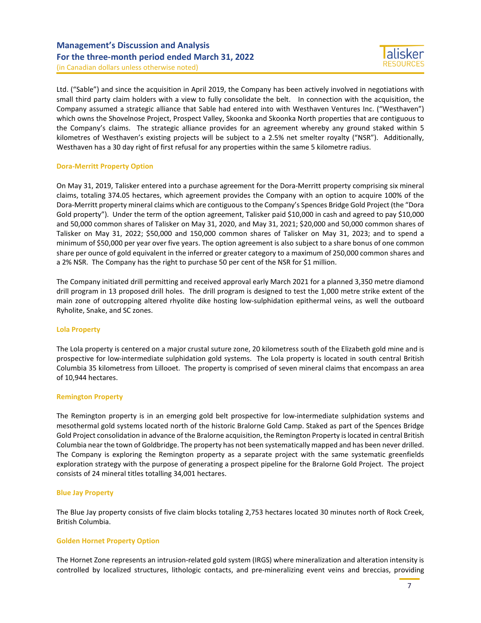(in Canadian dollars unless otherwise noted)

Ltd. ("Sable") and since the acquisition in April 2019, the Company has been actively involved in negotiations with small third party claim holders with a view to fully consolidate the belt. In connection with the acquisition, the Company assumed a strategic alliance that Sable had entered into with Westhaven Ventures Inc. ("Westhaven") which owns the Shovelnose Project, Prospect Valley, Skoonka and Skoonka North properties that are contiguous to the Company's claims. The strategic alliance provides for an agreement whereby any ground staked within 5 kilometres of Westhaven's existing projects will be subject to a 2.5% net smelter royalty ("NSR"). Additionally, Westhaven has a 30 day right of first refusal for any properties within the same 5 kilometre radius.

## **Dora-Merritt Property Option**

On May 31, 2019, Talisker entered into a purchase agreement for the Dora-Merritt property comprising six mineral claims, totaling 374.05 hectares, which agreement provides the Company with an option to acquire 100% of the Dora-Merritt property mineral claims which are contiguous to the Company's Spences Bridge Gold Project (the "Dora Gold property"). Under the term of the option agreement, Talisker paid \$10,000 in cash and agreed to pay \$10,000 and 50,000 common shares of Talisker on May 31, 2020, and May 31, 2021; \$20,000 and 50,000 common shares of Talisker on May 31, 2022; \$50,000 and 150,000 common shares of Talisker on May 31, 2023; and to spend a minimum of \$50,000 per year over five years. The option agreement is also subject to a share bonus of one common share per ounce of gold equivalent in the inferred or greater category to a maximum of 250,000 common shares and a 2% NSR. The Company has the right to purchase 50 per cent of the NSR for \$1 million.

The Company initiated drill permitting and received approval early March 2021 for a planned 3,350 metre diamond drill program in 13 proposed drill holes. The drill program is designed to test the 1,000 metre strike extent of the main zone of outcropping altered rhyolite dike hosting low-sulphidation epithermal veins, as well the outboard Ryholite, Snake, and SC zones.

### **Lola Property**

The Lola property is centered on a major crustal suture zone, 20 kilometress south of the Elizabeth gold mine and is prospective for low-intermediate sulphidation gold systems. The Lola property is located in south central British Columbia 35 kilometress from Lillooet. The property is comprised of seven mineral claims that encompass an area of 10,944 hectares.

### **Remington Property**

The Remington property is in an emerging gold belt prospective for low-intermediate sulphidation systems and mesothermal gold systems located north of the historic Bralorne Gold Camp. Staked as part of the Spences Bridge Gold Project consolidation in advance of the Bralorne acquisition, the Remington Property is located in central British Columbia near the town of Goldbridge. The property has not been systematically mapped and has been never drilled. The Company is exploring the Remington property as a separate project with the same systematic greenfields exploration strategy with the purpose of generating a prospect pipeline for the Bralorne Gold Project. The project consists of 24 mineral titles totalling 34,001 hectares.

## **Blue Jay Property**

The Blue Jay property consists of five claim blocks totaling 2,753 hectares located 30 minutes north of Rock Creek, British Columbia.

## **Golden Hornet Property Option**

The Hornet Zone represents an intrusion-related gold system (IRGS) where mineralization and alteration intensity is controlled by localized structures, lithologic contacts, and pre-mineralizing event veins and breccias, providing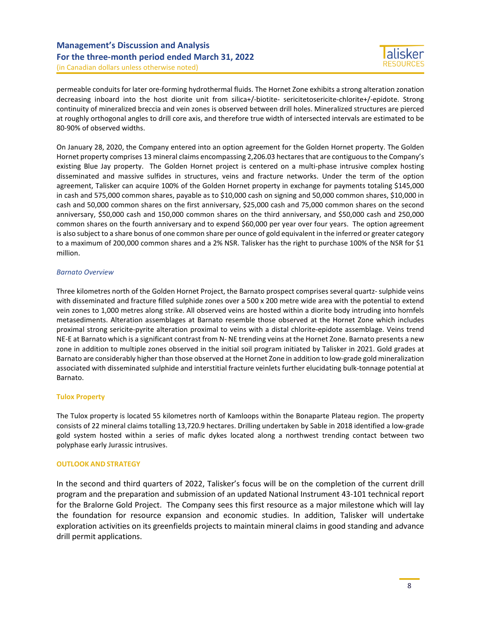

(in Canadian dollars unless otherwise noted)

permeable conduits for later ore-forming hydrothermal fluids. The Hornet Zone exhibits a strong alteration zonation decreasing inboard into the host diorite unit from silica+/-biotite- sericitetosericite-chlorite+/-epidote. Strong continuity of mineralized breccia and vein zones is observed between drill holes. Mineralized structures are pierced at roughly orthogonal angles to drill core axis, and therefore true width of intersected intervals are estimated to be 80-90% of observed widths.

On January 28, 2020, the Company entered into an option agreement for the Golden Hornet property. The Golden Hornet property comprises 13 mineral claims encompassing 2,206.03 hectares that are contiguous to the Company's existing Blue Jay property. The Golden Hornet project is centered on a multi-phase intrusive complex hosting disseminated and massive sulfides in structures, veins and fracture networks. Under the term of the option agreement, Talisker can acquire 100% of the Golden Hornet property in exchange for payments totaling \$145,000 in cash and 575,000 common shares, payable as to \$10,000 cash on signing and 50,000 common shares, \$10,000 in cash and 50,000 common shares on the first anniversary, \$25,000 cash and 75,000 common shares on the second anniversary, \$50,000 cash and 150,000 common shares on the third anniversary, and \$50,000 cash and 250,000 common shares on the fourth anniversary and to expend \$60,000 per year over four years. The option agreement is also subject to a share bonus of one common share per ounce of gold equivalent in the inferred or greater category to a maximum of 200,000 common shares and a 2% NSR. Talisker has the right to purchase 100% of the NSR for \$1 million.

## *Barnato Overview*

Three kilometres north of the Golden Hornet Project, the Barnato prospect comprises several quartz- sulphide veins with disseminated and fracture filled sulphide zones over a 500 x 200 metre wide area with the potential to extend vein zones to 1,000 metres along strike. All observed veins are hosted within a diorite body intruding into hornfels metasediments. Alteration assemblages at Barnato resemble those observed at the Hornet Zone which includes proximal strong sericite-pyrite alteration proximal to veins with a distal chlorite-epidote assemblage. Veins trend NE-E at Barnato which is a significant contrast from N- NE trending veins at the Hornet Zone. Barnato presents a new zone in addition to multiple zones observed in the initial soil program initiated by Talisker in 2021. Gold grades at Barnato are considerably higher than those observed at the Hornet Zone in addition to low-grade gold mineralization associated with disseminated sulphide and interstitial fracture veinlets further elucidating bulk-tonnage potential at Barnato.

## **Tulox Property**

The Tulox property is located 55 kilometres north of Kamloops within the Bonaparte Plateau region. The property consists of 22 mineral claims totalling 13,720.9 hectares. Drilling undertaken by Sable in 2018 identified a low-grade gold system hosted within a series of mafic dykes located along a northwest trending contact between two polyphase early Jurassic intrusives.

## **OUTLOOK AND STRATEGY**

In the second and third quarters of 2022, Talisker's focus will be on the completion of the current drill program and the preparation and submission of an updated National Instrument 43-101 technical report for the Bralorne Gold Project. The Company sees this first resource as a major milestone which will lay the foundation for resource expansion and economic studies. In addition, Talisker will undertake exploration activities on its greenfields projects to maintain mineral claims in good standing and advance drill permit applications.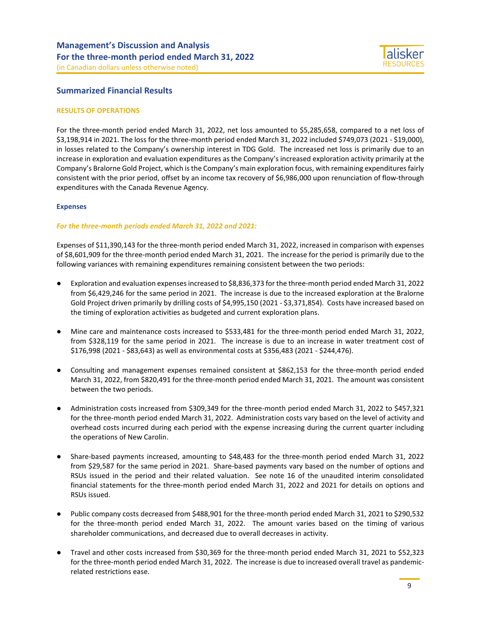

## **Summarized Financial Results**

### **RESULTS OF OPERATIONS**

For the three-month period ended March 31, 2022, net loss amounted to \$5,285,658, compared to a net loss of \$3,198,914 in 2021. The loss for the three-month period ended March 31, 2022 included \$749,073 (2021 - \$19,000), in losses related to the Company's ownership interest in TDG Gold. The increased net loss is primarily due to an increase in exploration and evaluation expenditures as the Company's increased exploration activity primarily at the Company's Bralorne Gold Project, which is the Company's main exploration focus, with remaining expenditures fairly consistent with the prior period, offset by an income tax recovery of \$6,986,000 upon renunciation of flow-through expenditures with the Canada Revenue Agency.

### **Expenses**

### *For the three-month periods ended March 31, 2022 and 2021:*

Expenses of \$11,390,143 for the three-month period ended March 31, 2022, increased in comparison with expenses of \$8,601,909 for the three-month period ended March 31, 2021. The increase for the period is primarily due to the following variances with remaining expenditures remaining consistent between the two periods:

- Exploration and evaluation expenses increased to \$8,836,373 for the three-month period ended March 31, 2022 from \$6,429,246 for the same period in 2021. The increase is due to the increased exploration at the Bralorne Gold Project driven primarily by drilling costs of \$4,995,150 (2021 - \$3,371,854). Costs have increased based on the timing of exploration activities as budgeted and current exploration plans.
- Mine care and maintenance costs increased to \$533,481 for the three-month period ended March 31, 2022, from \$328,119 for the same period in 2021. The increase is due to an increase in water treatment cost of \$176,998 (2021 - \$83,643) as well as environmental costs at \$356,483 (2021 - \$244,476).
- Consulting and management expenses remained consistent at \$862,153 for the three-month period ended March 31, 2022, from \$820,491 for the three-month period ended March 31, 2021. The amount was consistent between the two periods.
- Administration costs increased from \$309,349 for the three-month period ended March 31, 2022 to \$457,321 for the three-month period ended March 31, 2022. Administration costs vary based on the level of activity and overhead costs incurred during each period with the expense increasing during the current quarter including the operations of New Carolin.
- Share-based payments increased, amounting to \$48,483 for the three-month period ended March 31, 2022 from \$29,587 for the same period in 2021. Share-based payments vary based on the number of options and RSUs issued in the period and their related valuation. See note 16 of the unaudited interim consolidated financial statements for the three-month period ended March 31, 2022 and 2021 for details on options and RSUs issued.
- Public company costs decreased from \$488,901 for the three-month period ended March 31, 2021 to \$290,532 for the three-month period ended March 31, 2022. The amount varies based on the timing of various shareholder communications, and decreased due to overall decreases in activity.
- Travel and other costs increased from \$30,369 for the three-month period ended March 31, 2021 to \$52,323 for the three-month period ended March 31, 2022. The increase is due to increased overall travel as pandemicrelated restrictions ease.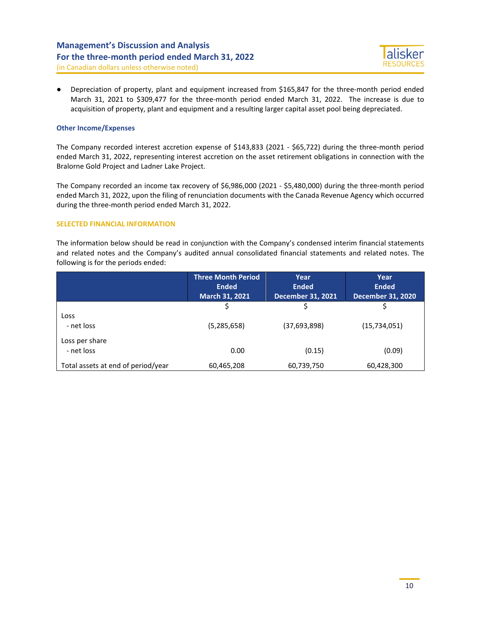(in Canadian dollars unless otherwise noted)

● Depreciation of property, plant and equipment increased from \$165,847 for the three-month period ended March 31, 2021 to \$309,477 for the three-month period ended March 31, 2022. The increase is due to acquisition of property, plant and equipment and a resulting larger capital asset pool being depreciated.

## **Other Income/Expenses**

The Company recorded interest accretion expense of \$143,833 (2021 - \$65,722) during the three-month period ended March 31, 2022, representing interest accretion on the asset retirement obligations in connection with the Bralorne Gold Project and Ladner Lake Project.

The Company recorded an income tax recovery of \$6,986,000 (2021 - \$5,480,000) during the three-month period ended March 31, 2022, upon the filing of renunciation documents with the Canada Revenue Agency which occurred during the three-month period ended March 31, 2022.

## **SELECTED FINANCIAL INFORMATION**

The information below should be read in conjunction with the Company's condensed interim financial statements and related notes and the Company's audited annual consolidated financial statements and related notes. The following is for the periods ended:

|                                    | <b>Three Month Period</b><br><b>Ended</b><br>March 31, 2021 | Year<br><b>Ended</b><br><b>December 31, 2021</b> | Year<br><b>Ended</b><br><b>December 31, 2020</b> |
|------------------------------------|-------------------------------------------------------------|--------------------------------------------------|--------------------------------------------------|
|                                    | Ś                                                           | Ś                                                |                                                  |
| Loss<br>- net loss                 | (5,285,658)                                                 | (37,693,898)                                     | (15, 734, 051)                                   |
| Loss per share<br>- net loss       | 0.00                                                        | (0.15)                                           | (0.09)                                           |
| Total assets at end of period/year | 60,465,208                                                  | 60,739,750                                       | 60,428,300                                       |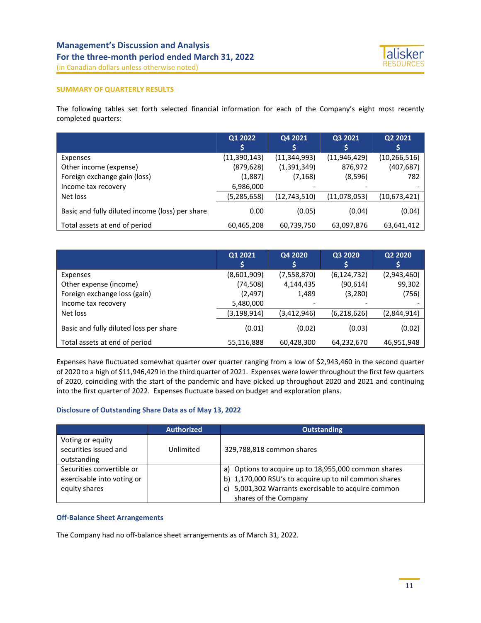

#### **SUMMARY OF QUARTERLY RESULTS**

The following tables set forth selected financial information for each of the Company's eight most recently completed quarters:

|                                                 | Q1 2022       | Q4 2021        | Q3 2021        | Q2 2021        |
|-------------------------------------------------|---------------|----------------|----------------|----------------|
|                                                 |               |                |                |                |
| Expenses                                        | (11,390,143)  | (11, 344, 993) | (11, 946, 429) | (10, 266, 516) |
| Other income (expense)                          | (879, 628)    | (1, 391, 349)  | 876,972        | (407,687)      |
| Foreign exchange gain (loss)                    | (1,887)       | (7, 168)       | (8,596)        | 782            |
| Income tax recovery                             | 6,986,000     |                |                |                |
| Net loss                                        | (5, 285, 658) | (12, 743, 510) | (11,078,053)   | (10,673,421)   |
| Basic and fully diluted income (loss) per share | 0.00          | (0.05)         | (0.04)         | (0.04)         |
| Total assets at end of period                   | 60,465,208    | 60,739,750     | 63,097,876     | 63,641,412     |

|                                        | Q1 2021       | Q4 2020                  | Q3 2020       | Q2 2020     |
|----------------------------------------|---------------|--------------------------|---------------|-------------|
| Expenses                               | (8,601,909)   | (7,558,870)              | (6, 124, 732) | (2,943,460) |
| Other expense (income)                 | (74, 508)     | 4,144,435                | (90, 614)     | 99,302      |
| Foreign exchange loss (gain)           | (2, 497)      | 1,489                    | (3,280)       | (756)       |
| Income tax recovery                    | 5,480,000     | $\overline{\phantom{a}}$ |               |             |
| Net loss                               | (3, 198, 914) | (3,412,946)              | (6,218,626)   | (2,844,914) |
| Basic and fully diluted loss per share | (0.01)        | (0.02)                   | (0.03)        | (0.02)      |
| Total assets at end of period          | 55,116,888    | 60,428,300               | 64,232,670    | 46,951,948  |

Expenses have fluctuated somewhat quarter over quarter ranging from a low of \$2,943,460 in the second quarter of 2020 to a high of \$11,946,429 in the third quarter of 2021. Expenses were lower throughout the first few quarters of 2020, coinciding with the start of the pandemic and have picked up throughout 2020 and 2021 and continuing into the first quarter of 2022. Expenses fluctuate based on budget and exploration plans.

### **Disclosure of Outstanding Share Data as of May 13, 2022**

|                                                                          | <b>Authorized</b> | <b>Outstanding</b>                                                                                                                                                                         |
|--------------------------------------------------------------------------|-------------------|--------------------------------------------------------------------------------------------------------------------------------------------------------------------------------------------|
| Voting or equity<br>securities issued and<br>outstanding                 | Unlimited         | 329,788,818 common shares                                                                                                                                                                  |
| Securities convertible or<br>exercisable into voting or<br>equity shares |                   | a) Options to acquire up to 18,955,000 common shares<br>b) 1,170,000 RSU's to acquire up to nil common shares<br>5,001,302 Warrants exercisable to acquire common<br>shares of the Company |

### **Off-Balance Sheet Arrangements**

The Company had no off-balance sheet arrangements as of March 31, 2022.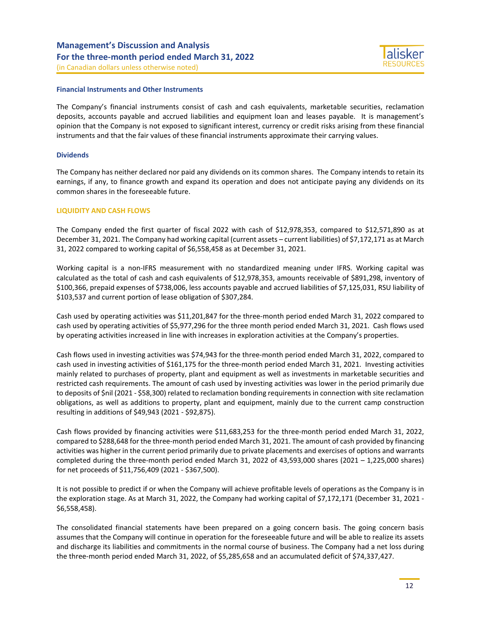## **Financial Instruments and Other Instruments**

The Company's financial instruments consist of cash and cash equivalents, marketable securities, reclamation deposits, accounts payable and accrued liabilities and equipment loan and leases payable. It is management's opinion that the Company is not exposed to significant interest, currency or credit risks arising from these financial instruments and that the fair values of these financial instruments approximate their carrying values.

## **Dividends**

The Company has neither declared nor paid any dividends on its common shares. The Company intends to retain its earnings, if any, to finance growth and expand its operation and does not anticipate paying any dividends on its common shares in the foreseeable future.

## **LIQUIDITY AND CASH FLOWS**

The Company ended the first quarter of fiscal 2022 with cash of \$12,978,353, compared to \$12,571,890 as at December 31, 2021. The Company had working capital (current assets – current liabilities) of \$7,172,171 as at March 31, 2022 compared to working capital of \$6,558,458 as at December 31, 2021.

Working capital is a non-IFRS measurement with no standardized meaning under IFRS. Working capital was calculated as the total of cash and cash equivalents of \$12,978,353, amounts receivable of \$891,298, inventory of \$100,366, prepaid expenses of \$738,006, less accounts payable and accrued liabilities of \$7,125,031, RSU liability of \$103,537 and current portion of lease obligation of \$307,284.

Cash used by operating activities was \$11,201,847 for the three-month period ended March 31, 2022 compared to cash used by operating activities of \$5,977,296 for the three month period ended March 31, 2021. Cash flows used by operating activities increased in line with increases in exploration activities at the Company's properties.

Cash flows used in investing activities was \$74,943 for the three-month period ended March 31, 2022, compared to cash used in investing activities of \$161,175 for the three-month period ended March 31, 2021. Investing activities mainly related to purchases of property, plant and equipment as well as investments in marketable securities and restricted cash requirements. The amount of cash used by investing activities was lower in the period primarily due to deposits of \$nil (2021 - \$58,300) related to reclamation bonding requirements in connection with site reclamation obligations, as well as additions to property, plant and equipment, mainly due to the current camp construction resulting in additions of \$49,943 (2021 - \$92,875).

Cash flows provided by financing activities were \$11,683,253 for the three-month period ended March 31, 2022, compared to \$288,648 for the three-month period ended March 31, 2021. The amount of cash provided by financing activities was higher in the current period primarily due to private placements and exercises of options and warrants completed during the three-month period ended March 31, 2022 of 43,593,000 shares (2021 – 1,225,000 shares) for net proceeds of \$11,756,409 (2021 - \$367,500).

It is not possible to predict if or when the Company will achieve profitable levels of operations as the Company is in the exploration stage. As at March 31, 2022, the Company had working capital of \$7,172,171 (December 31, 2021 -\$6,558,458).

The consolidated financial statements have been prepared on a going concern basis. The going concern basis assumes that the Company will continue in operation for the foreseeable future and will be able to realize its assets and discharge its liabilities and commitments in the normal course of business. The Company had a net loss during the three-month period ended March 31, 2022, of \$5,285,658 and an accumulated deficit of \$74,337,427.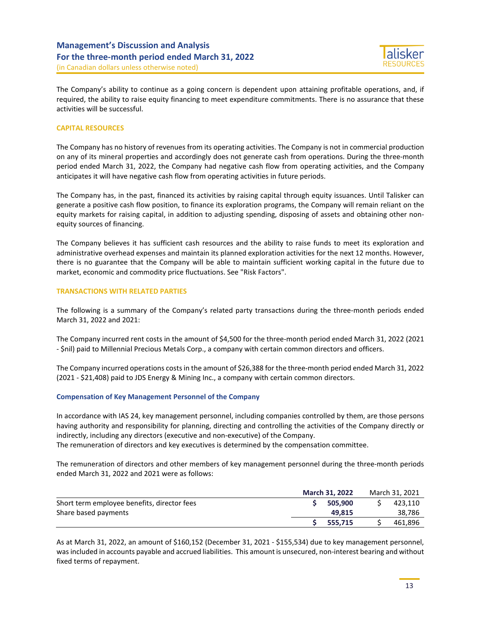(in Canadian dollars unless otherwise noted)

The Company's ability to continue as a going concern is dependent upon attaining profitable operations, and, if required, the ability to raise equity financing to meet expenditure commitments. There is no assurance that these activities will be successful.

## **CAPITAL RESOURCES**

The Company has no history of revenues from its operating activities. The Company is not in commercial production on any of its mineral properties and accordingly does not generate cash from operations. During the three-month period ended March 31, 2022, the Company had negative cash flow from operating activities, and the Company anticipates it will have negative cash flow from operating activities in future periods.

The Company has, in the past, financed its activities by raising capital through equity issuances. Until Talisker can generate a positive cash flow position, to finance its exploration programs, the Company will remain reliant on the equity markets for raising capital, in addition to adjusting spending, disposing of assets and obtaining other nonequity sources of financing.

The Company believes it has sufficient cash resources and the ability to raise funds to meet its exploration and administrative overhead expenses and maintain its planned exploration activities for the next 12 months. However, there is no guarantee that the Company will be able to maintain sufficient working capital in the future due to market, economic and commodity price fluctuations. See "Risk Factors".

### **TRANSACTIONS WITH RELATED PARTIES**

The following is a summary of the Company's related party transactions during the three-month periods ended March 31, 2022 and 2021:

The Company incurred rent costs in the amount of \$4,500 for the three-month period ended March 31, 2022 (2021 - \$nil) paid to Millennial Precious Metals Corp., a company with certain common directors and officers.

The Company incurred operations costs in the amount of \$26,388 for the three-month period ended March 31, 2022 (2021 - \$21,408) paid to JDS Energy & Mining Inc., a company with certain common directors.

### **Compensation of Key Management Personnel of the Company**

In accordance with IAS 24, key management personnel, including companies controlled by them, are those persons having authority and responsibility for planning, directing and controlling the activities of the Company directly or indirectly, including any directors (executive and non-executive) of the Company.

The remuneration of directors and key executives is determined by the compensation committee.

The remuneration of directors and other members of key management personnel during the three-month periods ended March 31, 2022 and 2021 were as follows:

|                                             | <b>March 31, 2022</b> | March 31, 2021 |         |  |
|---------------------------------------------|-----------------------|----------------|---------|--|
| Short term employee benefits, director fees | 505.900               |                | 423.110 |  |
| Share based payments                        | 49.815                |                | 38,786  |  |
|                                             | 555.715               |                | 461.896 |  |

As at March 31, 2022, an amount of \$160,152 (December 31, 2021 - \$155,534) due to key management personnel, was included in accounts payable and accrued liabilities. This amount is unsecured, non-interest bearing and without fixed terms of repayment.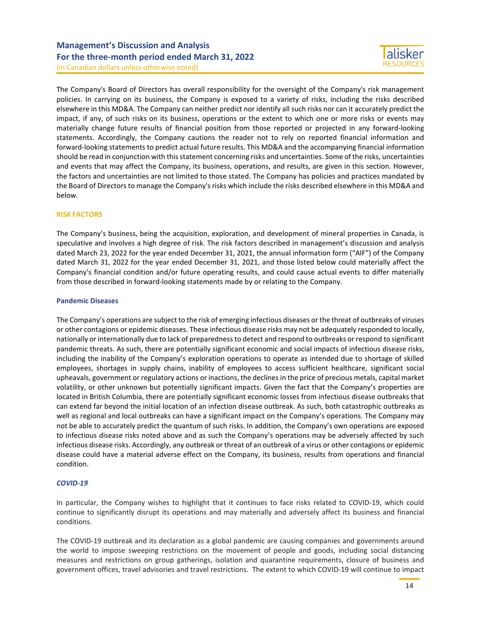(in Canadian dollars unless otherwise noted)

The Company's Board of Directors has overall responsibility for the oversight of the Company's risk management policies. In carrying on its business, the Company is exposed to a variety of risks, including the risks described elsewhere in this MD&A. The Company can neither predict nor identify all such risks nor can it accurately predict the impact, if any, of such risks on its business, operations or the extent to which one or more risks or events may materially change future results of financial position from those reported or projected in any forward-looking statements. Accordingly, the Company cautions the reader not to rely on reported financial information and forward-looking statements to predict actual future results. This MD&A and the accompanying financial information should be read in conjunction with this statement concerning risks and uncertainties. Some of the risks, uncertainties and events that may affect the Company, its business, operations, and results, are given in this section. However, the factors and uncertainties are not limited to those stated. The Company has policies and practices mandated by the Board of Directors to manage the Company's risks which include the risks described elsewhere in this MD&A and below.

## **RISK FACTORS**

The Company's business, being the acquisition, exploration, and development of mineral properties in Canada, is speculative and involves a high degree of risk. The risk factors described in management's discussion and analysis dated March 23, 2022 for the year ended December 31, 2021, the annual information form ("AIF") of the Company dated March 31, 2022 for the year ended December 31, 2021, and those listed below could materially affect the Company's financial condition and/or future operating results, and could cause actual events to differ materially from those described in forward-looking statements made by or relating to the Company.

## **Pandemic Diseases**

The Company's operations are subject to the risk of emerging infectious diseases or the threat of outbreaks of viruses or other contagions or epidemic diseases. These infectious disease risks may not be adequately responded to locally, nationally or internationally due to lack of preparedness to detect and respond to outbreaks or respond to significant pandemic threats. As such, there are potentially significant economic and social impacts of infectious disease risks, including the inability of the Company's exploration operations to operate as intended due to shortage of skilled employees, shortages in supply chains, inability of employees to access sufficient healthcare, significant social upheavals, government or regulatory actions or inactions, the declines in the price of precious metals, capital market volatility, or other unknown but potentially significant impacts. Given the fact that the Company's properties are located in British Columbia, there are potentially significant economic losses from infectious disease outbreaks that can extend far beyond the initial location of an infection disease outbreak. As such, both catastrophic outbreaks as well as regional and local outbreaks can have a significant impact on the Company's operations. The Company may not be able to accurately predict the quantum of such risks. In addition, the Company's own operations are exposed to infectious disease risks noted above and as such the Company's operations may be adversely affected by such infectious disease risks. Accordingly, any outbreak or threat of an outbreak of a virus or other contagions or epidemic disease could have a material adverse effect on the Company, its business, results from operations and financial condition.

## *COVID-19*

In particular, the Company wishes to highlight that it continues to face risks related to COVID-19, which could continue to significantly disrupt its operations and may materially and adversely affect its business and financial conditions.

The COVID-19 outbreak and its declaration as a global pandemic are causing companies and governments around the world to impose sweeping restrictions on the movement of people and goods, including social distancing measures and restrictions on group gatherings, isolation and quarantine requirements, closure of business and government offices, travel advisories and travel restrictions. The extent to which COVID-19 will continue to impact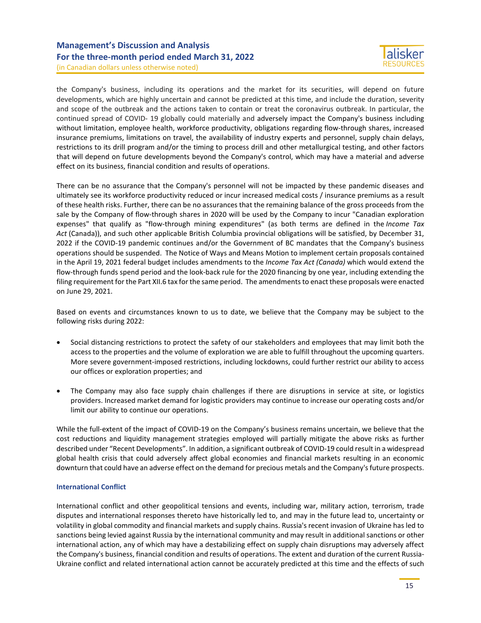(in Canadian dollars unless otherwise noted)

the Company's business, including its operations and the market for its securities, will depend on future developments, which are highly uncertain and cannot be predicted at this time, and include the duration, severity and scope of the outbreak and the actions taken to contain or treat the coronavirus outbreak. In particular, the continued spread of COVID- 19 globally could materially and adversely impact the Company's business including without limitation, employee health, workforce productivity, obligations regarding flow-through shares, increased insurance premiums, limitations on travel, the availability of industry experts and personnel, supply chain delays, restrictions to its drill program and/or the timing to process drill and other metallurgical testing, and other factors that will depend on future developments beyond the Company's control, which may have a material and adverse effect on its business, financial condition and results of operations.

There can be no assurance that the Company's personnel will not be impacted by these pandemic diseases and ultimately see its workforce productivity reduced or incur increased medical costs / insurance premiums as a result of these health risks. Further, there can be no assurances that the remaining balance of the gross proceeds from the sale by the Company of flow-through shares in 2020 will be used by the Company to incur "Canadian exploration expenses" that qualify as "flow-through mining expenditures" (as both terms are defined in the *Income Tax Act* (Canada)), and such other applicable British Columbia provincial obligations will be satisfied, by December 31, 2022 if the COVID-19 pandemic continues and/or the Government of BC mandates that the Company's business operations should be suspended. The Notice of Ways and Means Motion to implement certain proposals contained in the April 19, 2021 federal budget includes amendments to the *Income Tax Act (Canada)* which would extend the flow-through funds spend period and the look-back rule for the 2020 financing by one year, including extending the filing requirement for the Part XII.6 tax for the same period. The amendments to enact these proposals were enacted on June 29, 2021.

Based on events and circumstances known to us to date, we believe that the Company may be subject to the following risks during 2022:

- Social distancing restrictions to protect the safety of our stakeholders and employees that may limit both the access to the properties and the volume of exploration we are able to fulfill throughout the upcoming quarters. More severe government-imposed restrictions, including lockdowns, could further restrict our ability to access our offices or exploration properties; and
- The Company may also face supply chain challenges if there are disruptions in service at site, or logistics providers. Increased market demand for logistic providers may continue to increase our operating costs and/or limit our ability to continue our operations.

While the full-extent of the impact of COVID-19 on the Company's business remains uncertain, we believe that the cost reductions and liquidity management strategies employed will partially mitigate the above risks as further described under "Recent Developments". In addition, a significant outbreak of COVID-19 could result in a widespread global health crisis that could adversely affect global economies and financial markets resulting in an economic downturn that could have an adverse effect on the demand for precious metals and the Company's future prospects.

### **International Conflict**

International conflict and other geopolitical tensions and events, including war, military action, terrorism, trade disputes and international responses thereto have historically led to, and may in the future lead to, uncertainty or volatility in global commodity and financial markets and supply chains. Russia's recent invasion of Ukraine has led to sanctions being levied against Russia by the international community and may result in additional sanctions or other international action, any of which may have a destabilizing effect on supply chain disruptions may adversely affect the Company's business, financial condition and results of operations. The extent and duration of the current Russia-Ukraine conflict and related international action cannot be accurately predicted at this time and the effects of such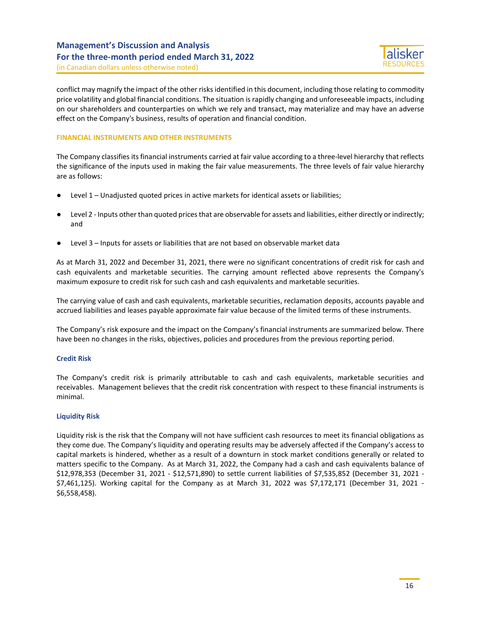

(in Canadian dollars unless otherwise noted)

conflict may magnify the impact of the other risks identified in this document, including those relating to commodity price volatility and global financial conditions. The situation is rapidly changing and unforeseeable impacts, including on our shareholders and counterparties on which we rely and transact, may materialize and may have an adverse effect on the Company's business, results of operation and financial condition.

## **FINANCIAL INSTRUMENTS AND OTHER INSTRUMENTS**

The Company classifies its financial instruments carried at fair value according to a three-level hierarchy that reflects the significance of the inputs used in making the fair value measurements. The three levels of fair value hierarchy are as follows:

- Level  $1$  Unadjusted quoted prices in active markets for identical assets or liabilities;
- Level 2 Inputs other than quoted prices that are observable for assets and liabilities, either directly or indirectly; and
- Level 3 Inputs for assets or liabilities that are not based on observable market data

As at March 31, 2022 and December 31, 2021, there were no significant concentrations of credit risk for cash and cash equivalents and marketable securities. The carrying amount reflected above represents the Company's maximum exposure to credit risk for such cash and cash equivalents and marketable securities.

The carrying value of cash and cash equivalents, marketable securities, reclamation deposits, accounts payable and accrued liabilities and leases payable approximate fair value because of the limited terms of these instruments.

The Company's risk exposure and the impact on the Company's financial instruments are summarized below. There have been no changes in the risks, objectives, policies and procedures from the previous reporting period.

### **Credit Risk**

The Company's credit risk is primarily attributable to cash and cash equivalents, marketable securities and receivables. Management believes that the credit risk concentration with respect to these financial instruments is minimal.

### **Liquidity Risk**

Liquidity risk is the risk that the Company will not have sufficient cash resources to meet its financial obligations as they come due. The Company's liquidity and operating results may be adversely affected if the Company's access to capital markets is hindered, whether as a result of a downturn in stock market conditions generally or related to matters specific to the Company. As at March 31, 2022, the Company had a cash and cash equivalents balance of \$12,978,353 (December 31, 2021 - \$12,571,890) to settle current liabilities of \$7,535,852 (December 31, 2021 - \$7,461,125). Working capital for the Company as at March 31, 2022 was \$7,172,171 (December 31, 2021 - \$6,558,458).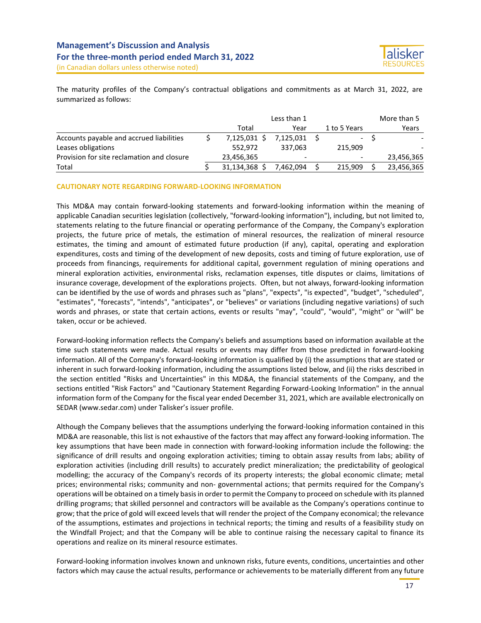

The maturity profiles of the Company's contractual obligations and commitments as at March 31, 2022, are summarized as follows:

|                                            | Less than 1 |                          |  |              |  | More than 5 |
|--------------------------------------------|-------------|--------------------------|--|--------------|--|-------------|
|                                            | Total       | Year                     |  | 1 to 5 Years |  | Years       |
| Accounts payable and accrued liabilities   | 7.125.031 S | 7.125.031                |  |              |  |             |
| Leases obligations                         | 552.972     | 337.063                  |  | 215.909      |  |             |
| Provision for site reclamation and closure | 23,456,365  | $\overline{\phantom{a}}$ |  |              |  | 23,456,365  |
| Total                                      | 31,134,368  | 7.462.094                |  | 215.909      |  | 23,456,365  |

#### **CAUTIONARY NOTE REGARDING FORWARD-LOOKING INFORMATION**

This MD&A may contain forward-looking statements and forward-looking information within the meaning of applicable Canadian securities legislation (collectively, "forward-looking information"), including, but not limited to, statements relating to the future financial or operating performance of the Company, the Company's exploration projects, the future price of metals, the estimation of mineral resources, the realization of mineral resource estimates, the timing and amount of estimated future production (if any), capital, operating and exploration expenditures, costs and timing of the development of new deposits, costs and timing of future exploration, use of proceeds from financings, requirements for additional capital, government regulation of mining operations and mineral exploration activities, environmental risks, reclamation expenses, title disputes or claims, limitations of insurance coverage, development of the explorations projects. Often, but not always, forward-looking information can be identified by the use of words and phrases such as "plans", "expects", "is expected", "budget", "scheduled", "estimates", "forecasts", "intends", "anticipates", or "believes" or variations (including negative variations) of such words and phrases, or state that certain actions, events or results "may", "could", "would", "might" or "will" be taken, occur or be achieved.

Forward-looking information reflects the Company's beliefs and assumptions based on information available at the time such statements were made. Actual results or events may differ from those predicted in forward-looking information. All of the Company's forward-looking information is qualified by (i) the assumptions that are stated or inherent in such forward-looking information, including the assumptions listed below, and (ii) the risks described in the section entitled "Risks and Uncertainties" in this MD&A, the financial statements of the Company, and the sections entitled "Risk Factors" and "Cautionary Statement Regarding Forward-Looking Information" in the annual information form of the Company for the fiscal year ended December 31, 2021, which are available electronically on SEDAR (www.sedar.com) under Talisker's issuer profile.

Although the Company believes that the assumptions underlying the forward-looking information contained in this MD&A are reasonable, this list is not exhaustive of the factors that may affect any forward-looking information. The key assumptions that have been made in connection with forward-looking information include the following: the significance of drill results and ongoing exploration activities; timing to obtain assay results from labs; ability of exploration activities (including drill results) to accurately predict mineralization; the predictability of geological modelling; the accuracy of the Company's records of its property interests; the global economic climate; metal prices; environmental risks; community and non- governmental actions; that permits required for the Company's operations will be obtained on a timely basis in order to permit the Company to proceed on schedule with its planned drilling programs; that skilled personnel and contractors will be available as the Company's operations continue to grow; that the price of gold will exceed levels that will render the project of the Company economical; the relevance of the assumptions, estimates and projections in technical reports; the timing and results of a feasibility study on the Windfall Project; and that the Company will be able to continue raising the necessary capital to finance its operations and realize on its mineral resource estimates.

Forward-looking information involves known and unknown risks, future events, conditions, uncertainties and other factors which may cause the actual results, performance or achievements to be materially different from any future